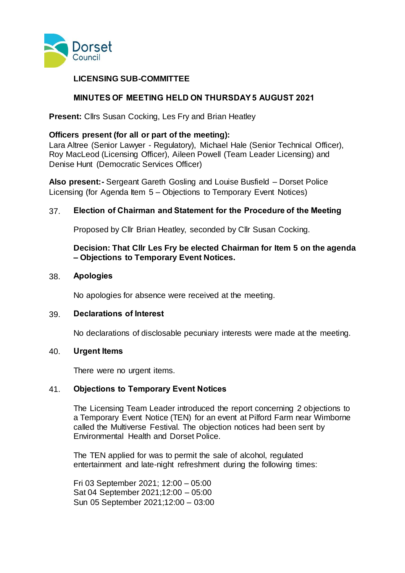

# **LICENSING SUB-COMMITTEE**

# **MINUTES OF MEETING HELD ON THURSDAY 5 AUGUST 2021**

**Present:** Cllrs Susan Cocking, Les Fry and Brian Heatley

## **Officers present (for all or part of the meeting):**

Lara Altree (Senior Lawyer - Regulatory), Michael Hale (Senior Technical Officer), Roy MacLeod (Licensing Officer), Aileen Powell (Team Leader Licensing) and Denise Hunt (Democratic Services Officer)

**Also present:-** Sergeant Gareth Gosling and Louise Busfield – Dorset Police Licensing (for Agenda Item 5 – Objections to Temporary Event Notices)

## 37. **Election of Chairman and Statement for the Procedure of the Meeting**

Proposed by Cllr Brian Heatley, seconded by Cllr Susan Cocking.

## **Decision: That Cllr Les Fry be elected Chairman for Item 5 on the agenda – Objections to Temporary Event Notices.**

### 38. **Apologies**

No apologies for absence were received at the meeting.

### 39. **Declarations of Interest**

No declarations of disclosable pecuniary interests were made at the meeting.

### 40. **Urgent Items**

There were no urgent items.

## 41. **Objections to Temporary Event Notices**

The Licensing Team Leader introduced the report concerning 2 objections to a Temporary Event Notice (TEN) for an event at Pilford Farm near Wimborne called the Multiverse Festival. The objection notices had been sent by Environmental Health and Dorset Police.

The TEN applied for was to permit the sale of alcohol, regulated entertainment and late-night refreshment during the following times:

Fri 03 September 2021; 12:00 – 05:00 Sat 04 September 2021;12:00 – 05:00 Sun 05 September 2021;12:00 – 03:00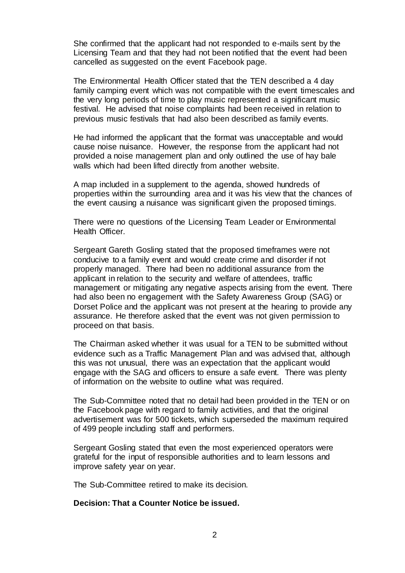She confirmed that the applicant had not responded to e-mails sent by the Licensing Team and that they had not been notified that the event had been cancelled as suggested on the event Facebook page.

The Environmental Health Officer stated that the TEN described a 4 day family camping event which was not compatible with the event timescales and the very long periods of time to play music represented a significant music festival. He advised that noise complaints had been received in relation to previous music festivals that had also been described as family events.

He had informed the applicant that the format was unacceptable and would cause noise nuisance. However, the response from the applicant had not provided a noise management plan and only outlined the use of hay bale walls which had been lifted directly from another website.

A map included in a supplement to the agenda, showed hundreds of properties within the surrounding area and it was his view that the chances of the event causing a nuisance was significant given the proposed timings.

There were no questions of the Licensing Team Leader or Environmental Health Officer.

Sergeant Gareth Gosling stated that the proposed timeframes were not conducive to a family event and would create crime and disorder if not properly managed. There had been no additional assurance from the applicant in relation to the security and welfare of attendees, traffic management or mitigating any negative aspects arising from the event. There had also been no engagement with the Safety Awareness Group (SAG) or Dorset Police and the applicant was not present at the hearing to provide any assurance. He therefore asked that the event was not given permission to proceed on that basis.

The Chairman asked whether it was usual for a TEN to be submitted without evidence such as a Traffic Management Plan and was advised that, although this was not unusual, there was an expectation that the applicant would engage with the SAG and officers to ensure a safe event. There was plenty of information on the website to outline what was required.

The Sub-Committee noted that no detail had been provided in the TEN or on the Facebook page with regard to family activities, and that the original advertisement was for 500 tickets, which superseded the maximum required of 499 people including staff and performers.

Sergeant Gosling stated that even the most experienced operators were grateful for the input of responsible authorities and to learn lessons and improve safety year on year.

The Sub-Committee retired to make its decision.

### **Decision: That a Counter Notice be issued.**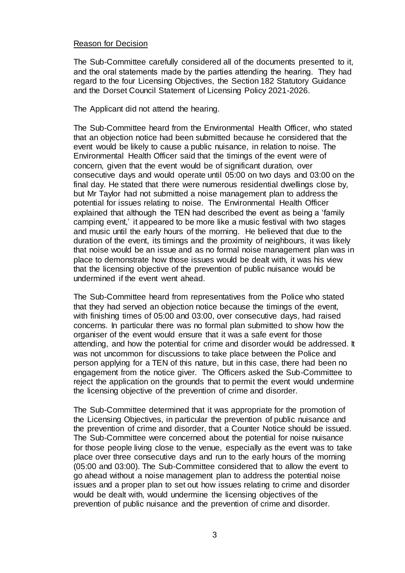## Reason for Decision

The Sub-Committee carefully considered all of the documents presented to it, and the oral statements made by the parties attending the hearing.  They had regard to the four Licensing Objectives, the Section 182 Statutory Guidance and the Dorset Council Statement of Licensing Policy 2021-2026.

The Applicant did not attend the hearing.

The Sub-Committee heard from the Environmental Health Officer, who stated that an objection notice had been submitted because he considered that the event would be likely to cause a public nuisance, in relation to noise. The Environmental Health Officer said that the timings of the event were of concern, given that the event would be of significant duration, over consecutive days and would operate until 05:00 on two days and 03:00 on the final day. He stated that there were numerous residential dwellings close by, but Mr Taylor had not submitted a noise management plan to address the potential for issues relating to noise. The Environmental Health Officer explained that although the TEN had described the event as being a 'family camping event,' it appeared to be more like a music festival with two stages and music until the early hours of the morning. He believed that due to the duration of the event, its timings and the proximity of neighbours, it was likely that noise would be an issue and as no formal noise management plan was in place to demonstrate how those issues would be dealt with, it was his view that the licensing objective of the prevention of public nuisance would be undermined if the event went ahead.

The Sub-Committee heard from representatives from the Police who stated that they had served an objection notice because the timings of the event, with finishing times of 05:00 and 03:00, over consecutive days, had raised concerns. In particular there was no formal plan submitted to show how the organiser of the event would ensure that it was a safe event for those attending, and how the potential for crime and disorder would be addressed. It was not uncommon for discussions to take place between the Police and person applying for a TEN of this nature, but in this case, there had been no engagement from the notice giver. The Officers asked the Sub-Committee to reject the application on the grounds that to permit the event would undermine the licensing objective of the prevention of crime and disorder.

The Sub-Committee determined that it was appropriate for the promotion of the Licensing Objectives, in particular the prevention of public nuisance and the prevention of crime and disorder, that a Counter Notice should be issued. The Sub-Committee were concerned about the potential for noise nuisance for those people living close to the venue, especially as the event was to take place over three consecutive days and run to the early hours of the morning (05:00 and 03:00). The Sub-Committee considered that to allow the event to go ahead without a noise management plan to address the potential noise issues and a proper plan to set out how issues relating to crime and disorder would be dealt with, would undermine the licensing objectives of the prevention of public nuisance and the prevention of crime and disorder.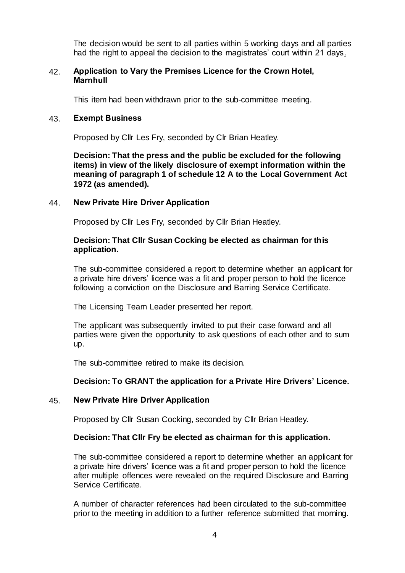The decision would be sent to all parties within 5 working days and all parties had the right to appeal the decision to the magistrates' court within 21 days.

### 42. **Application to Vary the Premises Licence for the Crown Hotel, Marnhull**

This item had been withdrawn prior to the sub-committee meeting.

### 43. **Exempt Business**

Proposed by Cllr Les Fry, seconded by Clr Brian Heatley.

**Decision: That the press and the public be excluded for the following items) in view of the likely disclosure of exempt information within the meaning of paragraph 1 of schedule 12 A to the Local Government Act 1972 (as amended).**

### 44. **New Private Hire Driver Application**

Proposed by Cllr Les Fry, seconded by Cllr Brian Heatley.

### **Decision: That Cllr Susan Cocking be elected as chairman for this application.**

The sub-committee considered a report to determine whether an applicant for a private hire drivers' licence was a fit and proper person to hold the licence following a conviction on the Disclosure and Barring Service Certificate.

The Licensing Team Leader presented her report.

The applicant was subsequently invited to put their case forward and all parties were given the opportunity to ask questions of each other and to sum up.

The sub-committee retired to make its decision.

## **Decision: To GRANT the application for a Private Hire Drivers' Licence.**

## 45. **New Private Hire Driver Application**

Proposed by Cllr Susan Cocking, seconded by Cllr Brian Heatley.

### **Decision: That Cllr Fry be elected as chairman for this application.**

The sub-committee considered a report to determine whether an applicant for a private hire drivers' licence was a fit and proper person to hold the licence after multiple offences were revealed on the required Disclosure and Barring Service Certificate.

A number of character references had been circulated to the sub-committee prior to the meeting in addition to a further reference submitted that morning.